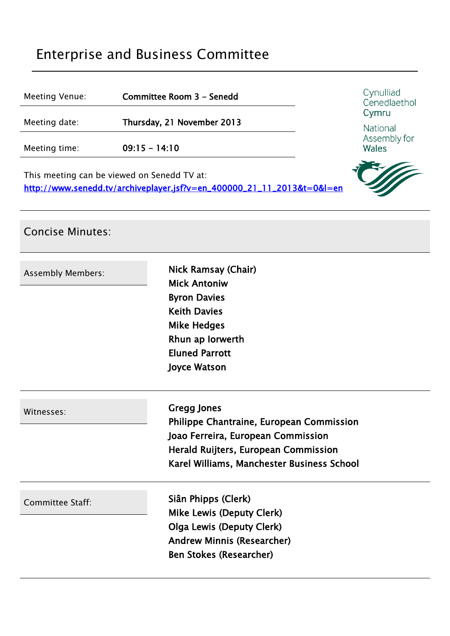# Enterprise and Business Committee

| Meeting Venue:                                                                                                        | Committee Room 3 - Senedd  | Cynulliad<br>Cenedlaethol<br>Cymru<br>National<br>Assembly for<br><b>Wales</b> |
|-----------------------------------------------------------------------------------------------------------------------|----------------------------|--------------------------------------------------------------------------------|
| Meeting date:                                                                                                         | Thursday, 21 November 2013 |                                                                                |
| Meeting time:                                                                                                         | $09:15 - 14:10$            |                                                                                |
| This meeting can be viewed on Senedd TV at:<br>http://www.senedd.tv/archiveplayer.jsf?v=en_400000_21_11_2013&t=0&l=en |                            |                                                                                |

# Concise Minutes: **Assembly Members: Nick Ramsay (Chair)** Mick Antoniw Byron Davies Keith Davies Mike Hedges Rhun ap Iorwerth Eluned Parrott Joyce Watson Witnesses: **Gregg Jones** Philippe Chantraine, European Commission Joao Ferreira, European Commission Herald Ruijters, European Commission Karel Williams, Manchester Business School Committee Staff: Siân Phipps (Clerk) Mike Lewis (Deputy Clerk) Olga Lewis (Deputy Clerk) Andrew Minnis (Researcher) Ben Stokes (Researcher)